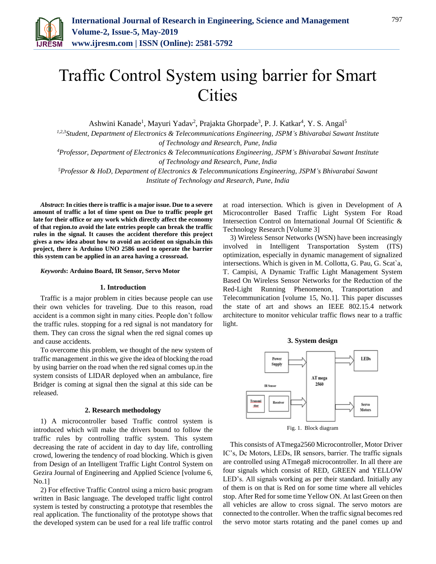

# Traffic Control System using barrier for Smart **Cities**

Ashwini Kanade<sup>1</sup>, Mayuri Yadav<sup>2</sup>, Prajakta Ghorpade<sup>3</sup>, P. J. Katkar<sup>4</sup>, Y. S. Angal<sup>5</sup>

*1,2,3Student, Department of Electronics & Telecommunications Engineering, JSPM's Bhivarabai Sawant Institute of Technology and Research, Pune, India*

*<sup>4</sup>Professor, Department of Electronics & Telecommunications Engineering, JSPM's Bhivarabai Sawant Institute of Technology and Research, Pune, India*

*<sup>5</sup>Professor & HoD, Department of Electronics & Telecommunications Engineering, JSPM's Bhivarabai Sawant Institute of Technology and Research, Pune, India*

*Abstract***: In cities there is traffic is a major issue. Due to a severe amount of traffic a lot of time spent on Due to traffic people get late for their office or any work which directly affect the economy of that region.to avoid the late entries people can break the traffic rules in the signal. It causes the accident therefore this project gives a new idea about how to avoid an accident on signals.in this project, there is Arduino UNO 2586 used to operate the barrier this system can be applied in an area having a crossroad.**

*Keywords***: Arduino Board, IR Sensor, Servo Motor**

## **1. Introduction**

Traffic is a major problem in cities because people can use their own vehicles for traveling. Due to this reason, road accident is a common sight in many cities. People don't follow the traffic rules. stopping for a red signal is not mandatory for them. They can cross the signal when the red signal comes up and cause accidents.

To overcome this problem, we thought of the new system of traffic management .in this we give the idea of blocking the road by using barrier on the road when the red signal comes up.in the system consists of LIDAR deployed when an ambulance, fire Bridger is coming at signal then the signal at this side can be released.

#### **2. Research methodology**

1) A microcontroller based Traffic control system is introduced which will make the drivers bound to follow the traffic rules by controlling traffic system. This system decreasing the rate of accident in day to day life, controlling crowd, lowering the tendency of road blocking. Which is given from Design of an Intelligent Traffic Light Control System on Gezira Journal of Engineering and Applied Science [volume 6, No.1]

2) For effective Traffic Control using a micro basic program written in Basic language. The developed traffic light control system is tested by constructing a prototype that resembles the real application. The functionality of the prototype shows that the developed system can be used for a real life traffic control at road intersection. Which is given in Development of A Microcontroller Based Traffic Light System For Road Intersection Control on International Journal Of Scientific & Technology Research [Volume 3]

3) Wireless Sensor Networks (WSN) have been increasingly involved in Intelligent Transportation System (ITS) optimization, especially in dynamic management of signalized intersections. Which is given in M. Collotta, G. Pau, G. Scat`a, T. Campisi, A Dynamic Traffic Light Management System Based On Wireless Sensor Networks for the Reduction of the Red-Light Running Phenomenon, Transportation and Telecommunication [volume 15, No.1]. This paper discusses the state of art and shows an IEEE 802.15.4 network architecture to monitor vehicular traffic flows near to a traffic light.



Fig. 1. Block diagram

This consists of ATmega2560 Microcontroller, Motor Driver IC's, Dc Motors, LEDs, IR sensors, barrier. The traffic signals are controlled using ATmega8 microcontroller. In all there are four signals which consist of RED, GREEN and YELLOW LED's. All signals working as per their standard. Initially any of them is on that is Red on for some time where all vehicles stop. After Red for some time Yellow ON. At last Green on then all vehicles are allow to cross signal. The servo motors are connected to the controller. When the traffic signal becomes red the servo motor starts rotating and the panel comes up and